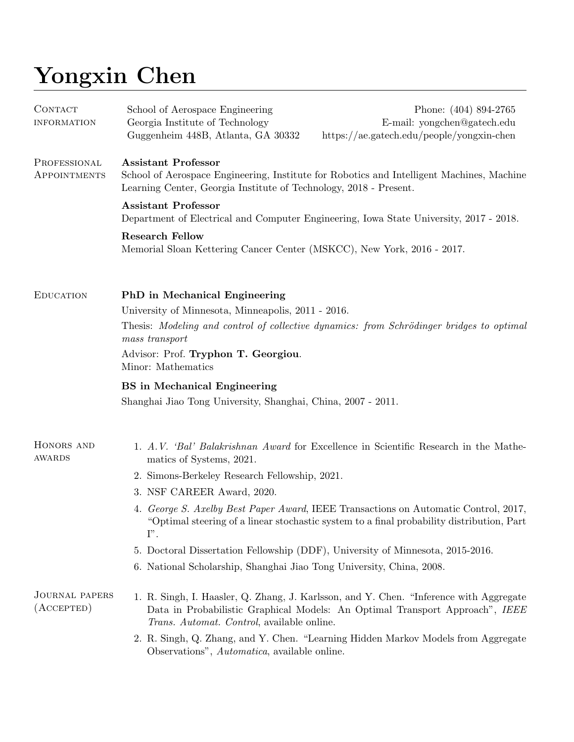## Yongxin Chen

| CONTACT<br><b>INFORMATION</b>             | School of Aerospace Engineering<br>Georgia Institute of Technology<br>Guggenheim 448B, Atlanta, GA 30332                                                                                                                                                                                                             | Phone: (404) 894-2765<br>E-mail: yongchen@gatech.edu<br>https://ae.gatech.edu/people/yongxin-chen                                                                                |  |
|-------------------------------------------|----------------------------------------------------------------------------------------------------------------------------------------------------------------------------------------------------------------------------------------------------------------------------------------------------------------------|----------------------------------------------------------------------------------------------------------------------------------------------------------------------------------|--|
| PROFESSIONAL<br>APPOINTMENTS              | <b>Assistant Professor</b><br>School of Aerospace Engineering, Institute for Robotics and Intelligent Machines, Machine<br>Learning Center, Georgia Institute of Technology, 2018 - Present.<br><b>Assistant Professor</b><br>Department of Electrical and Computer Engineering, Iowa State University, 2017 - 2018. |                                                                                                                                                                                  |  |
|                                           |                                                                                                                                                                                                                                                                                                                      |                                                                                                                                                                                  |  |
|                                           | <b>Research Fellow</b><br>Memorial Sloan Kettering Cancer Center (MSKCC), New York, 2016 - 2017.                                                                                                                                                                                                                     |                                                                                                                                                                                  |  |
| <b>EDUCATION</b>                          | <b>PhD</b> in Mechanical Engineering<br>University of Minnesota, Minneapolis, 2011 - 2016.                                                                                                                                                                                                                           |                                                                                                                                                                                  |  |
|                                           | Thesis: Modeling and control of collective dynamics: from Schrödinger bridges to optimal<br>mass transport                                                                                                                                                                                                           |                                                                                                                                                                                  |  |
|                                           | Advisor: Prof. Tryphon T. Georgiou.<br>Minor: Mathematics                                                                                                                                                                                                                                                            |                                                                                                                                                                                  |  |
|                                           | <b>BS</b> in Mechanical Engineering                                                                                                                                                                                                                                                                                  |                                                                                                                                                                                  |  |
|                                           | Shanghai Jiao Tong University, Shanghai, China, 2007 - 2011.                                                                                                                                                                                                                                                         |                                                                                                                                                                                  |  |
| HONORS AND<br>AWARDS                      | matics of Systems, 2021.                                                                                                                                                                                                                                                                                             | 1. A.V. 'Bal' Balakrishnan Award for Excellence in Scientific Research in the Mathe-                                                                                             |  |
|                                           | 2. Simons-Berkeley Research Fellowship, 2021.                                                                                                                                                                                                                                                                        |                                                                                                                                                                                  |  |
|                                           | 3. NSF CAREER Award, 2020.                                                                                                                                                                                                                                                                                           |                                                                                                                                                                                  |  |
|                                           | $\Gamma'$ .                                                                                                                                                                                                                                                                                                          | 4. George S. Axelby Best Paper Award, IEEE Transactions on Automatic Control, 2017,<br>"Optimal steering of a linear stochastic system to a final probability distribution, Part |  |
|                                           |                                                                                                                                                                                                                                                                                                                      | 5. Doctoral Dissertation Fellowship (DDF), University of Minnesota, 2015-2016.                                                                                                   |  |
|                                           | 6. National Scholarship, Shanghai Jiao Tong University, China, 2008.                                                                                                                                                                                                                                                 |                                                                                                                                                                                  |  |
| <b>JOURNAL PAPERS</b><br>$($ ACCEPTED $)$ | Trans. Automat. Control, available online.                                                                                                                                                                                                                                                                           | 1. R. Singh, I. Haasler, Q. Zhang, J. Karlsson, and Y. Chen. "Inference with Aggregate<br>Data in Probabilistic Graphical Models: An Optimal Transport Approach", IEEE           |  |
|                                           | Observations", Automatica, available online.                                                                                                                                                                                                                                                                         | 2. R. Singh, Q. Zhang, and Y. Chen. "Learning Hidden Markov Models from Aggregate                                                                                                |  |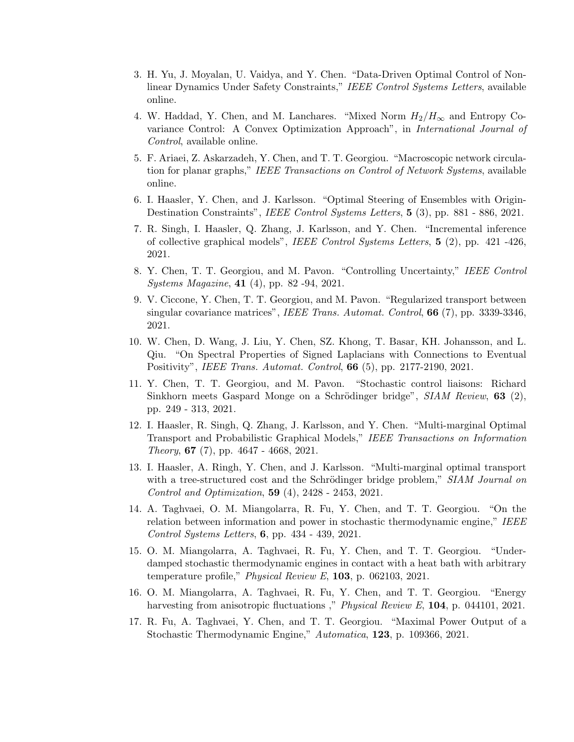- 3. H. Yu, J. Moyalan, U. Vaidya, and Y. Chen. "Data-Driven Optimal Control of Nonlinear Dynamics Under Safety Constraints," IEEE Control Systems Letters, available online.
- 4. W. Haddad, Y. Chen, and M. Lanchares. "Mixed Norm  $H_2/H_{\infty}$  and Entropy Covariance Control: A Convex Optimization Approach", in International Journal of Control, available online.
- 5. F. Ariaei, Z. Askarzadeh, Y. Chen, and T. T. Georgiou. "Macroscopic network circulation for planar graphs," IEEE Transactions on Control of Network Systems, available online.
- 6. I. Haasler, Y. Chen, and J. Karlsson. "Optimal Steering of Ensembles with Origin-Destination Constraints", IEEE Control Systems Letters, 5 (3), pp. 881 - 886, 2021.
- 7. R. Singh, I. Haasler, Q. Zhang, J. Karlsson, and Y. Chen. "Incremental inference of collective graphical models", IEEE Control Systems Letters, 5 (2), pp. 421 -426, 2021.
- 8. Y. Chen, T. T. Georgiou, and M. Pavon. "Controlling Uncertainty," IEEE Control Systems Magazine, 41 (4), pp. 82 -94, 2021.
- 9. V. Ciccone, Y. Chen, T. T. Georgiou, and M. Pavon. "Regularized transport between singular covariance matrices", *IEEE Trans. Automat. Control*, **66**  $(7)$ , pp. 3339-3346, 2021.
- 10. W. Chen, D. Wang, J. Liu, Y. Chen, SZ. Khong, T. Basar, KH. Johansson, and L. Qiu. "On Spectral Properties of Signed Laplacians with Connections to Eventual Positivity", IEEE Trans. Automat. Control, 66 (5), pp. 2177-2190, 2021.
- 11. Y. Chen, T. T. Georgiou, and M. Pavon. "Stochastic control liaisons: Richard Sinkhorn meets Gaspard Monge on a Schrödinger bridge", SIAM Review, 63 (2), pp. 249 - 313, 2021.
- 12. I. Haasler, R. Singh, Q. Zhang, J. Karlsson, and Y. Chen. "Multi-marginal Optimal Transport and Probabilistic Graphical Models," IEEE Transactions on Information Theory, 67 (7), pp. 4647 - 4668, 2021.
- 13. I. Haasler, A. Ringh, Y. Chen, and J. Karlsson. "Multi-marginal optimal transport with a tree-structured cost and the Schrödinger bridge problem," SIAM Journal on Control and Optimization, 59 (4), 2428 - 2453, 2021.
- 14. A. Taghvaei, O. M. Miangolarra, R. Fu, Y. Chen, and T. T. Georgiou. "On the relation between information and power in stochastic thermodynamic engine," IEEE Control Systems Letters, 6, pp. 434 - 439, 2021.
- 15. O. M. Miangolarra, A. Taghvaei, R. Fu, Y. Chen, and T. T. Georgiou. "Underdamped stochastic thermodynamic engines in contact with a heat bath with arbitrary temperature profile," *Physical Review E*,  $103$ , p. 062103, 2021.
- 16. O. M. Miangolarra, A. Taghvaei, R. Fu, Y. Chen, and T. T. Georgiou. "Energy harvesting from anisotropic fluctuations ," *Physical Review E*, **104**, p. 044101, 2021.
- 17. R. Fu, A. Taghvaei, Y. Chen, and T. T. Georgiou. "Maximal Power Output of a Stochastic Thermodynamic Engine," Automatica, 123, p. 109366, 2021.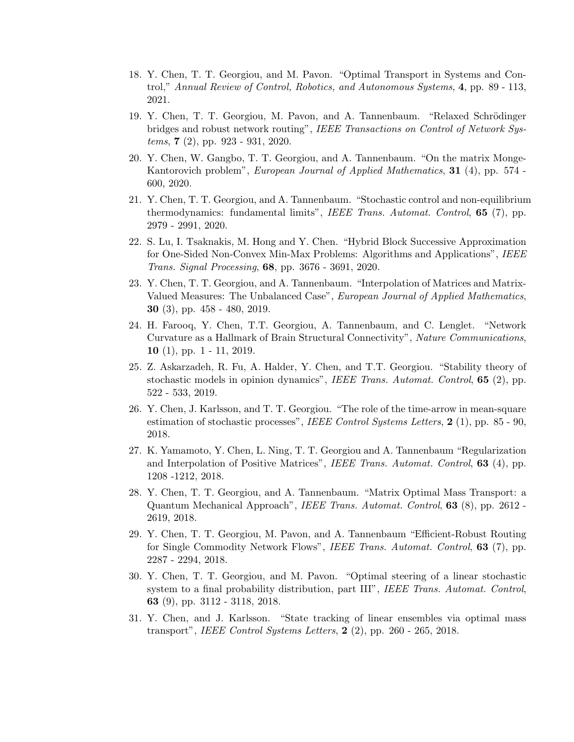- 18. Y. Chen, T. T. Georgiou, and M. Pavon. "Optimal Transport in Systems and Control," Annual Review of Control, Robotics, and Autonomous Systems, 4, pp. 89 - 113, 2021.
- 19. Y. Chen, T. T. Georgiou, M. Pavon, and A. Tannenbaum. "Relaxed Schrödinger bridges and robust network routing", IEEE Transactions on Control of Network Systems, 7 (2), pp. 923 - 931, 2020.
- 20. Y. Chen, W. Gangbo, T. T. Georgiou, and A. Tannenbaum. "On the matrix Monge-Kantorovich problem", European Journal of Applied Mathematics, 31 (4), pp. 574 -600, 2020.
- 21. Y. Chen, T. T. Georgiou, and A. Tannenbaum. "Stochastic control and non-equilibrium thermodynamics: fundamental limits", IEEE Trans. Automat. Control, 65 (7), pp. 2979 - 2991, 2020.
- 22. S. Lu, I. Tsaknakis, M. Hong and Y. Chen. "Hybrid Block Successive Approximation for One-Sided Non-Convex Min-Max Problems: Algorithms and Applications", IEEE Trans. Signal Processing, 68, pp. 3676 - 3691, 2020.
- 23. Y. Chen, T. T. Georgiou, and A. Tannenbaum. "Interpolation of Matrices and Matrix-Valued Measures: The Unbalanced Case", European Journal of Applied Mathematics, 30 (3), pp. 458 - 480, 2019.
- 24. H. Farooq, Y. Chen, T.T. Georgiou, A. Tannenbaum, and C. Lenglet. "Network Curvature as a Hallmark of Brain Structural Connectivity", Nature Communications, 10  $(1)$ , pp. 1 - 11, 2019.
- 25. Z. Askarzadeh, R. Fu, A. Halder, Y. Chen, and T.T. Georgiou. "Stability theory of stochastic models in opinion dynamics", *IEEE Trans. Automat. Control*,  $65$  (2), pp. 522 - 533, 2019.
- 26. Y. Chen, J. Karlsson, and T. T. Georgiou. "The role of the time-arrow in mean-square estimation of stochastic processes", IEEE Control Systems Letters,  $2(1)$ , pp. 85 - 90, 2018.
- 27. K. Yamamoto, Y. Chen, L. Ning, T. T. Georgiou and A. Tannenbaum "Regularization and Interpolation of Positive Matrices", IEEE Trans. Automat. Control, 63 (4), pp. 1208 -1212, 2018.
- 28. Y. Chen, T. T. Georgiou, and A. Tannenbaum. "Matrix Optimal Mass Transport: a Quantum Mechanical Approach", IEEE Trans. Automat. Control, 63 (8), pp. 2612 - 2619, 2018.
- 29. Y. Chen, T. T. Georgiou, M. Pavon, and A. Tannenbaum "Efficient-Robust Routing for Single Commodity Network Flows", IEEE Trans. Automat. Control, 63 (7), pp. 2287 - 2294, 2018.
- 30. Y. Chen, T. T. Georgiou, and M. Pavon. "Optimal steering of a linear stochastic system to a final probability distribution, part III", IEEE Trans. Automat. Control, 63 (9), pp. 3112 - 3118, 2018.
- 31. Y. Chen, and J. Karlsson. "State tracking of linear ensembles via optimal mass transport", IEEE Control Systems Letters,  $2(2)$ , pp. 260 - 265, 2018.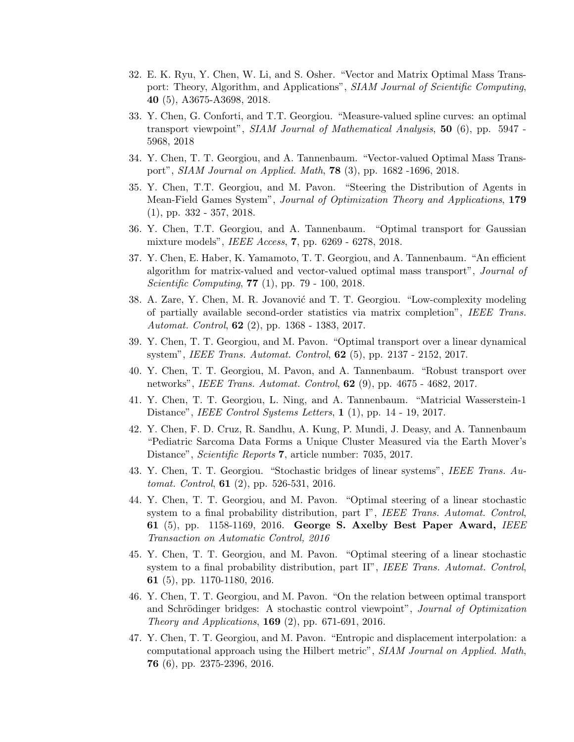- 32. E. K. Ryu, Y. Chen, W. Li, and S. Osher. "Vector and Matrix Optimal Mass Transport: Theory, Algorithm, and Applications", SIAM Journal of Scientific Computing, 40 (5), A3675-A3698, 2018.
- 33. Y. Chen, G. Conforti, and T.T. Georgiou. "Measure-valued spline curves: an optimal transport viewpoint", SIAM Journal of Mathematical Analysis, 50 (6), pp. 5947 -5968, 2018
- 34. Y. Chen, T. T. Georgiou, and A. Tannenbaum. "Vector-valued Optimal Mass Transport", SIAM Journal on Applied. Math, 78 (3), pp. 1682 -1696, 2018.
- 35. Y. Chen, T.T. Georgiou, and M. Pavon. "Steering the Distribution of Agents in Mean-Field Games System", Journal of Optimization Theory and Applications, 179 (1), pp. 332 - 357, 2018.
- 36. Y. Chen, T.T. Georgiou, and A. Tannenbaum. "Optimal transport for Gaussian mixture models", IEEE Access, 7, pp. 6269 - 6278, 2018.
- 37. Y. Chen, E. Haber, K. Yamamoto, T. T. Georgiou, and A. Tannenbaum. "An efficient algorithm for matrix-valued and vector-valued optimal mass transport", Journal of Scientific Computing, 77 (1), pp. 79 - 100, 2018.
- 38. A. Zare, Y. Chen, M. R. Jovanović and T. T. Georgiou. "Low-complexity modeling of partially available second-order statistics via matrix completion", IEEE Trans. Automat. Control, 62 (2), pp. 1368 - 1383, 2017.
- 39. Y. Chen, T. T. Georgiou, and M. Pavon. "Optimal transport over a linear dynamical system", IEEE Trans. Automat. Control, 62 (5), pp. 2137 - 2152, 2017.
- 40. Y. Chen, T. T. Georgiou, M. Pavon, and A. Tannenbaum. "Robust transport over networks", IEEE Trans. Automat. Control, 62 (9), pp. 4675 - 4682, 2017.
- 41. Y. Chen, T. T. Georgiou, L. Ning, and A. Tannenbaum. "Matricial Wasserstein-1 Distance", *IEEE Control Systems Letters*, 1 (1), pp. 14 - 19, 2017.
- 42. Y. Chen, F. D. Cruz, R. Sandhu, A. Kung, P. Mundi, J. Deasy, and A. Tannenbaum "Pediatric Sarcoma Data Forms a Unique Cluster Measured via the Earth Mover's Distance", *Scientific Reports* 7, article number: 7035, 2017.
- 43. Y. Chen, T. T. Georgiou. "Stochastic bridges of linear systems", IEEE Trans. Automat. Control, 61 (2), pp. 526-531, 2016.
- 44. Y. Chen, T. T. Georgiou, and M. Pavon. "Optimal steering of a linear stochastic system to a final probability distribution, part I", IEEE Trans. Automat. Control, 61 (5), pp. 1158-1169, 2016. George S. Axelby Best Paper Award, IEEE Transaction on Automatic Control, 2016
- 45. Y. Chen, T. T. Georgiou, and M. Pavon. "Optimal steering of a linear stochastic system to a final probability distribution, part II", IEEE Trans. Automat. Control, 61 (5), pp. 1170-1180, 2016.
- 46. Y. Chen, T. T. Georgiou, and M. Pavon. "On the relation between optimal transport and Schrödinger bridges: A stochastic control viewpoint", *Journal of Optimization Theory and Applications*, **169** (2), pp. 671-691, 2016.
- 47. Y. Chen, T. T. Georgiou, and M. Pavon. "Entropic and displacement interpolation: a computational approach using the Hilbert metric", SIAM Journal on Applied. Math, 76 (6), pp. 2375-2396, 2016.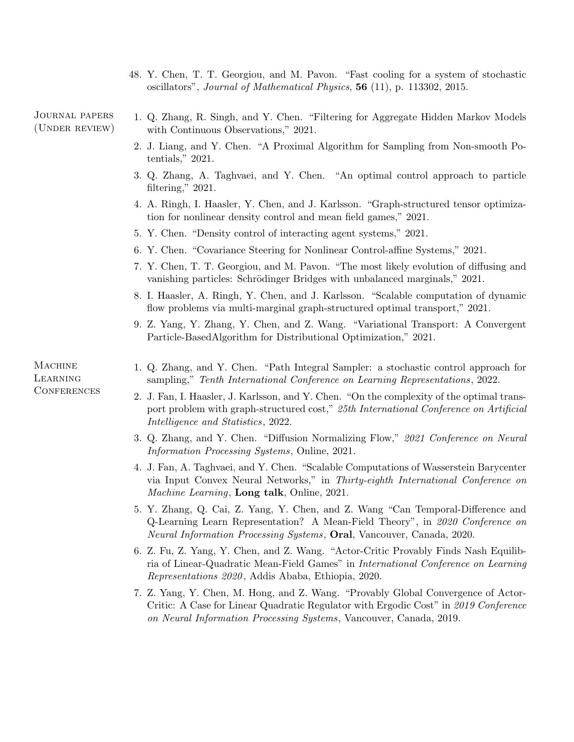48. Y. Chen, T. T. Georgiou, and M. Pavon. "Fast cooling for a system of stochastic oscillators", Journal of Mathematical Physics, 56 (11), p. 113302, 2015.

Journal papers (Under review)

- 1. Q. Zhang, R. Singh, and Y. Chen. "Filtering for Aggregate Hidden Markov Models with Continuous Observations," 2021.
	- 2. J. Liang, and Y. Chen. "A Proximal Algorithm for Sampling from Non-smooth Potentials," 2021.
	- 3. Q. Zhang, A. Taghvaei, and Y. Chen. "An optimal control approach to particle filtering," 2021.
	- 4. A. Ringh, I. Haasler, Y. Chen, and J. Karlsson. "Graph-structured tensor optimization for nonlinear density control and mean field games," 2021.
	- 5. Y. Chen. "Density control of interacting agent systems," 2021.
	- 6. Y. Chen. "Covariance Steering for Nonlinear Control-affine Systems," 2021.
	- 7. Y. Chen, T. T. Georgiou, and M. Pavon. "The most likely evolution of diffusing and vanishing particles: Schrödinger Bridges with unbalanced marginals," 2021.
	- 8. I. Haasler, A. Ringh, Y. Chen, and J. Karlsson. "Scalable computation of dynamic flow problems via multi-marginal graph-structured optimal transport," 2021.
	- 9. Z. Yang, Y. Zhang, Y. Chen, and Z. Wang. "Variational Transport: A Convergent Particle-BasedAlgorithm for Distributional Optimization," 2021.
	- 1. Q. Zhang, and Y. Chen. "Path Integral Sampler: a stochastic control approach for sampling," Tenth International Conference on Learning Representations, 2022.
		- 2. J. Fan, I. Haasler, J. Karlsson, and Y. Chen. "On the complexity of the optimal transport problem with graph-structured cost," 25th International Conference on Artificial Intelligence and Statistics, 2022.
		- 3. Q. Zhang, and Y. Chen. "Diffusion Normalizing Flow," 2021 Conference on Neural Information Processing Systems, Online, 2021.
		- 4. J. Fan, A. Taghvaei, and Y. Chen. "Scalable Computations of Wasserstein Barycenter via Input Convex Neural Networks," in Thirty-eighth International Conference on Machine Learning, **Long talk**, Online, 2021.
		- 5. Y. Zhang, Q. Cai, Z. Yang, Y. Chen, and Z. Wang "Can Temporal-Difference and Q-Learning Learn Representation? A Mean-Field Theory", in 2020 Conference on Neural Information Processing Systems, Oral, Vancouver, Canada, 2020.
		- 6. Z. Fu, Z. Yang, Y. Chen, and Z. Wang. "Actor-Critic Provably Finds Nash Equilibria of Linear-Quadratic Mean-Field Games" in International Conference on Learning Representations 2020 , Addis Ababa, Ethiopia, 2020.
		- 7. Z. Yang, Y. Chen, M. Hong, and Z. Wang. "Provably Global Convergence of Actor-Critic: A Case for Linear Quadratic Regulator with Ergodic Cost" in 2019 Conference on Neural Information Processing Systems, Vancouver, Canada, 2019.

**MACHINE** Learning **CONFERENCES**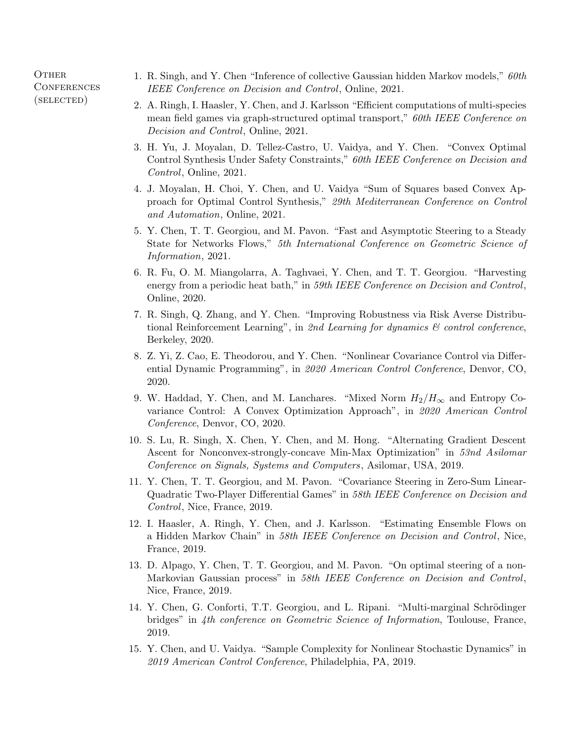**OTHER CONFERENCES** (selected)

- 1. R. Singh, and Y. Chen "Inference of collective Gaussian hidden Markov models," 60th IEEE Conference on Decision and Control, Online, 2021.
- 2. A. Ringh, I. Haasler, Y. Chen, and J. Karlsson "Efficient computations of multi-species mean field games via graph-structured optimal transport," 60th IEEE Conference on Decision and Control, Online, 2021.
- 3. H. Yu, J. Moyalan, D. Tellez-Castro, U. Vaidya, and Y. Chen. "Convex Optimal Control Synthesis Under Safety Constraints," 60th IEEE Conference on Decision and Control, Online, 2021.
- 4. J. Moyalan, H. Choi, Y. Chen, and U. Vaidya "Sum of Squares based Convex Approach for Optimal Control Synthesis," 29th Mediterranean Conference on Control and Automation, Online, 2021.
- 5. Y. Chen, T. T. Georgiou, and M. Pavon. "Fast and Asymptotic Steering to a Steady State for Networks Flows," 5th International Conference on Geometric Science of Information, 2021.
- 6. R. Fu, O. M. Miangolarra, A. Taghvaei, Y. Chen, and T. T. Georgiou. "Harvesting energy from a periodic heat bath," in 59th IEEE Conference on Decision and Control, Online, 2020.
- 7. R. Singh, Q. Zhang, and Y. Chen. "Improving Robustness via Risk Averse Distributional Reinforcement Learning", in 2nd Learning for dynamics  $\mathcal{B}$  control conference, Berkeley, 2020.
- 8. Z. Yi, Z. Cao, E. Theodorou, and Y. Chen. "Nonlinear Covariance Control via Differential Dynamic Programming", in 2020 American Control Conference, Denvor, CO, 2020.
- 9. W. Haddad, Y. Chen, and M. Lanchares. "Mixed Norm  $H_2/H_{\infty}$  and Entropy Covariance Control: A Convex Optimization Approach", in 2020 American Control Conference, Denvor, CO, 2020.
- 10. S. Lu, R. Singh, X. Chen, Y. Chen, and M. Hong. "Alternating Gradient Descent Ascent for Nonconvex-strongly-concave Min-Max Optimization" in 53nd Asilomar Conference on Signals, Systems and Computers, Asilomar, USA, 2019.
- 11. Y. Chen, T. T. Georgiou, and M. Pavon. "Covariance Steering in Zero-Sum Linear-Quadratic Two-Player Differential Games" in 58th IEEE Conference on Decision and Control, Nice, France, 2019.
- 12. I. Haasler, A. Ringh, Y. Chen, and J. Karlsson. "Estimating Ensemble Flows on a Hidden Markov Chain" in 58th IEEE Conference on Decision and Control, Nice, France, 2019.
- 13. D. Alpago, Y. Chen, T. T. Georgiou, and M. Pavon. "On optimal steering of a non-Markovian Gaussian process" in 58th IEEE Conference on Decision and Control, Nice, France, 2019.
- 14. Y. Chen, G. Conforti, T.T. Georgiou, and L. Ripani. "Multi-marginal Schrödinger bridges" in 4th conference on Geometric Science of Information, Toulouse, France, 2019.
- 15. Y. Chen, and U. Vaidya. "Sample Complexity for Nonlinear Stochastic Dynamics" in 2019 American Control Conference, Philadelphia, PA, 2019.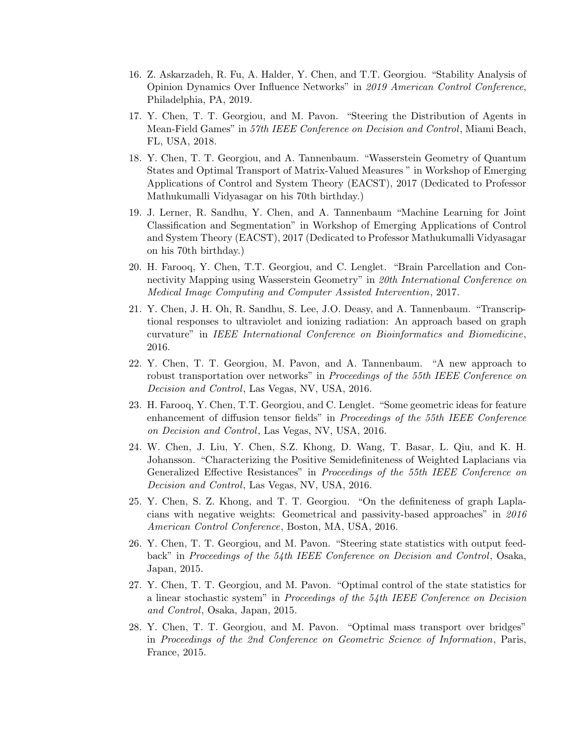- 16. Z. Askarzadeh, R. Fu, A. Halder, Y. Chen, and T.T. Georgiou. "Stability Analysis of Opinion Dynamics Over Influence Networks" in 2019 American Control Conference, Philadelphia, PA, 2019.
- 17. Y. Chen, T. T. Georgiou, and M. Pavon. "Steering the Distribution of Agents in Mean-Field Games" in 57th IEEE Conference on Decision and Control, Miami Beach, FL, USA, 2018.
- 18. Y. Chen, T. T. Georgiou, and A. Tannenbaum. "Wasserstein Geometry of Quantum States and Optimal Transport of Matrix-Valued Measures " in Workshop of Emerging Applications of Control and System Theory (EACST), 2017 (Dedicated to Professor Mathukumalli Vidyasagar on his 70th birthday.)
- 19. J. Lerner, R. Sandhu, Y. Chen, and A. Tannenbaum "Machine Learning for Joint Classification and Segmentation" in Workshop of Emerging Applications of Control and System Theory (EACST), 2017 (Dedicated to Professor Mathukumalli Vidyasagar on his 70th birthday.)
- 20. H. Farooq, Y. Chen, T.T. Georgiou, and C. Lenglet. "Brain Parcellation and Connectivity Mapping using Wasserstein Geometry" in 20th International Conference on Medical Image Computing and Computer Assisted Intervention, 2017.
- 21. Y. Chen, J. H. Oh, R. Sandhu, S. Lee, J.O. Deasy, and A. Tannenbaum. "Transcriptional responses to ultraviolet and ionizing radiation: An approach based on graph curvature" in IEEE International Conference on Bioinformatics and Biomedicine, 2016.
- 22. Y. Chen, T. T. Georgiou, M. Pavon, and A. Tannenbaum. "A new approach to robust transportation over networks" in *Proceedings of the 55th IEEE Conference on* Decision and Control, Las Vegas, NV, USA, 2016.
- 23. H. Farooq, Y. Chen, T.T. Georgiou, and C. Lenglet. "Some geometric ideas for feature enhancement of diffusion tensor fields" in Proceedings of the 55th IEEE Conference on Decision and Control, Las Vegas, NV, USA, 2016.
- 24. W. Chen, J. Liu, Y. Chen, S.Z. Khong, D. Wang, T. Basar, L. Qiu, and K. H. Johansson. "Characterizing the Positive Semidefiniteness of Weighted Laplacians via Generalized Effective Resistances" in Proceedings of the 55th IEEE Conference on Decision and Control, Las Vegas, NV, USA, 2016.
- 25. Y. Chen, S. Z. Khong, and T. T. Georgiou. "On the definiteness of graph Laplacians with negative weights: Geometrical and passivity-based approaches" in 2016 American Control Conference, Boston, MA, USA, 2016.
- 26. Y. Chen, T. T. Georgiou, and M. Pavon. "Steering state statistics with output feedback" in Proceedings of the 54th IEEE Conference on Decision and Control, Osaka, Japan, 2015.
- 27. Y. Chen, T. T. Georgiou, and M. Pavon. "Optimal control of the state statistics for a linear stochastic system" in Proceedings of the 54th IEEE Conference on Decision and Control, Osaka, Japan, 2015.
- 28. Y. Chen, T. T. Georgiou, and M. Pavon. "Optimal mass transport over bridges" in Proceedings of the 2nd Conference on Geometric Science of Information, Paris, France, 2015.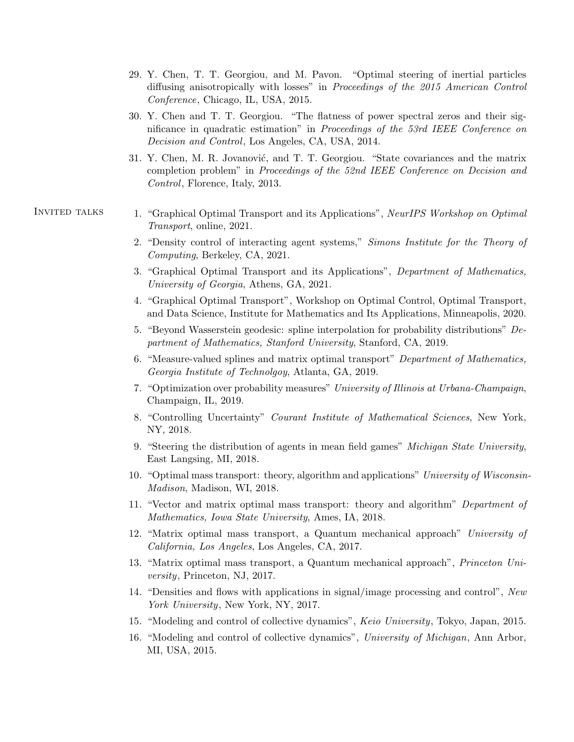- 29. Y. Chen, T. T. Georgiou, and M. Pavon. "Optimal steering of inertial particles diffusing anisotropically with losses" in Proceedings of the 2015 American Control Conference, Chicago, IL, USA, 2015.
- 30. Y. Chen and T. T. Georgiou. "The flatness of power spectral zeros and their significance in quadratic estimation" in Proceedings of the 53rd IEEE Conference on Decision and Control, Los Angeles, CA, USA, 2014.
- 31. Y. Chen, M. R. Jovanović, and T. T. Georgiou. "State covariances and the matrix completion problem" in Proceedings of the 52nd IEEE Conference on Decision and Control, Florence, Italy, 2013.
- INVITED TALKS 1. "Graphical Optimal Transport and its Applications", NeurIPS Workshop on Optimal Transport, online, 2021.
	- 2. "Density control of interacting agent systems," Simons Institute for the Theory of Computing, Berkeley, CA, 2021.
	- 3. "Graphical Optimal Transport and its Applications", Department of Mathematics, University of Georgia, Athens, GA, 2021.
	- 4. "Graphical Optimal Transport", Workshop on Optimal Control, Optimal Transport, and Data Science, Institute for Mathematics and Its Applications, Minneapolis, 2020.
	- 5. "Beyond Wasserstein geodesic: spline interpolation for probability distributions" Department of Mathematics, Stanford University, Stanford, CA, 2019.
	- 6. "Measure-valued splines and matrix optimal transport" Department of Mathematics, Georgia Institute of Technolgoy, Atlanta, GA, 2019.
	- 7. "Optimization over probability measures" University of Illinois at Urbana-Champaign, Champaign, IL, 2019.
	- 8. "Controlling Uncertainty" Courant Institute of Mathematical Sciences, New York, NY, 2018.
	- 9. "Steering the distribution of agents in mean field games" Michigan State University, East Langsing, MI, 2018.
	- 10. "Optimal mass transport: theory, algorithm and applications" University of Wisconsin-Madison, Madison, WI, 2018.
	- 11. "Vector and matrix optimal mass transport: theory and algorithm" Department of Mathematics, Iowa State University, Ames, IA, 2018.
	- 12. "Matrix optimal mass transport, a Quantum mechanical approach" University of California, Los Angeles, Los Angeles, CA, 2017.
	- 13. "Matrix optimal mass transport, a Quantum mechanical approach", Princeton University, Princeton, NJ, 2017.
	- 14. "Densities and flows with applications in signal/image processing and control", New York University, New York, NY, 2017.
	- 15. "Modeling and control of collective dynamics", Keio University, Tokyo, Japan, 2015.
	- 16. "Modeling and control of collective dynamics", University of Michigan, Ann Arbor, MI, USA, 2015.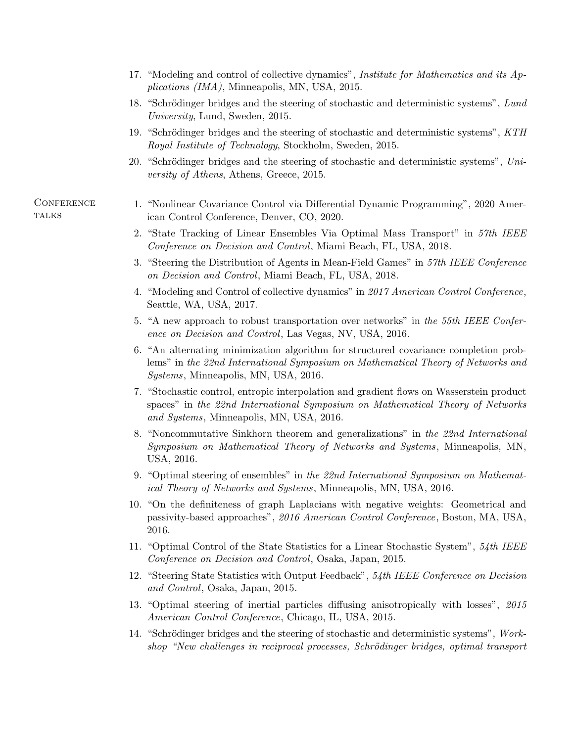- 17. "Modeling and control of collective dynamics", Institute for Mathematics and its Applications (IMA), Minneapolis, MN, USA, 2015.
- 18. "Schrödinger bridges and the steering of stochastic and deterministic systems", Lund University, Lund, Sweden, 2015.
- 19. "Schrödinger bridges and the steering of stochastic and deterministic systems", KTH Royal Institute of Technology, Stockholm, Sweden, 2015.
- 20. "Schrödinger bridges and the steering of stochastic and deterministic systems",  $Uni$ versity of Athens, Athens, Greece, 2015.

## **CONFERENCE TALKS**

- 1. "Nonlinear Covariance Control via Differential Dynamic Programming", 2020 American Control Conference, Denver, CO, 2020.
- 2. "State Tracking of Linear Ensembles Via Optimal Mass Transport" in 57th IEEE Conference on Decision and Control, Miami Beach, FL, USA, 2018.
- 3. "Steering the Distribution of Agents in Mean-Field Games" in 57th IEEE Conference on Decision and Control, Miami Beach, FL, USA, 2018.
- 4. "Modeling and Control of collective dynamics" in 2017 American Control Conference, Seattle, WA, USA, 2017.
- 5. "A new approach to robust transportation over networks" in the 55th IEEE Conference on Decision and Control, Las Vegas, NV, USA, 2016.
- 6. "An alternating minimization algorithm for structured covariance completion problems" in the 22nd International Symposium on Mathematical Theory of Networks and Systems, Minneapolis, MN, USA, 2016.
- 7. "Stochastic control, entropic interpolation and gradient flows on Wasserstein product spaces" in the 22nd International Symposium on Mathematical Theory of Networks and Systems, Minneapolis, MN, USA, 2016.
- 8. "Noncommutative Sinkhorn theorem and generalizations" in the 22nd International Symposium on Mathematical Theory of Networks and Systems, Minneapolis, MN, USA, 2016.
- 9. "Optimal steering of ensembles" in the 22nd International Symposium on Mathematical Theory of Networks and Systems, Minneapolis, MN, USA, 2016.
- 10. "On the definiteness of graph Laplacians with negative weights: Geometrical and passivity-based approaches", 2016 American Control Conference, Boston, MA, USA, 2016.
- 11. "Optimal Control of the State Statistics for a Linear Stochastic System", 54th IEEE Conference on Decision and Control, Osaka, Japan, 2015.
- 12. "Steering State Statistics with Output Feedback", 54th IEEE Conference on Decision and Control, Osaka, Japan, 2015.
- 13. "Optimal steering of inertial particles diffusing anisotropically with losses", 2015 American Control Conference, Chicago, IL, USA, 2015.
- 14. "Schrödinger bridges and the steering of stochastic and deterministic systems", Workshop "New challenges in reciprocal processes, Schrödinger bridges, optimal transport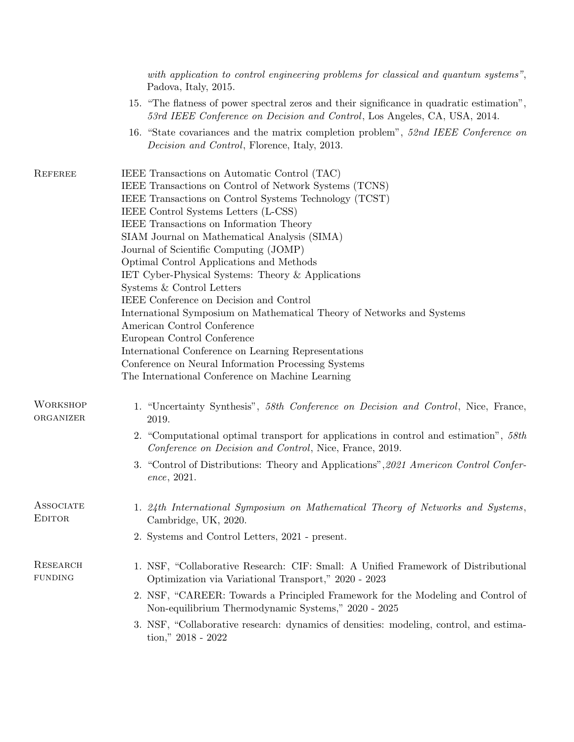|                                   | with application to control engineering problems for classical and quantum systems",<br>Padova, Italy, 2015.                                                                                                                                                                                                                                                                                                                                                                                                                                                                                                                                                                                                                                                                                                                      |  |
|-----------------------------------|-----------------------------------------------------------------------------------------------------------------------------------------------------------------------------------------------------------------------------------------------------------------------------------------------------------------------------------------------------------------------------------------------------------------------------------------------------------------------------------------------------------------------------------------------------------------------------------------------------------------------------------------------------------------------------------------------------------------------------------------------------------------------------------------------------------------------------------|--|
|                                   | 15. "The flatness of power spectral zeros and their significance in quadratic estimation",<br>53rd IEEE Conference on Decision and Control, Los Angeles, CA, USA, 2014.                                                                                                                                                                                                                                                                                                                                                                                                                                                                                                                                                                                                                                                           |  |
|                                   | 16. "State covariances and the matrix completion problem", 52nd IEEE Conference on<br><i>Decision and Control</i> , Florence, Italy, 2013.                                                                                                                                                                                                                                                                                                                                                                                                                                                                                                                                                                                                                                                                                        |  |
| <b>REFEREE</b>                    | IEEE Transactions on Automatic Control (TAC)<br>IEEE Transactions on Control of Network Systems (TCNS)<br>IEEE Transactions on Control Systems Technology (TCST)<br>IEEE Control Systems Letters (L-CSS)<br>IEEE Transactions on Information Theory<br>SIAM Journal on Mathematical Analysis (SIMA)<br>Journal of Scientific Computing (JOMP)<br>Optimal Control Applications and Methods<br>IET Cyber-Physical Systems: Theory & Applications<br>Systems & Control Letters<br>IEEE Conference on Decision and Control<br>International Symposium on Mathematical Theory of Networks and Systems<br>American Control Conference<br>European Control Conference<br>International Conference on Learning Representations<br>Conference on Neural Information Processing Systems<br>The International Conference on Machine Learning |  |
| <b>WORKSHOP</b><br>ORGANIZER      | 1. "Uncertainty Synthesis", 58th Conference on Decision and Control, Nice, France,<br>2019.                                                                                                                                                                                                                                                                                                                                                                                                                                                                                                                                                                                                                                                                                                                                       |  |
|                                   | 2. "Computational optimal transport for applications in control and estimation", 58th<br>Conference on Decision and Control, Nice, France, 2019.                                                                                                                                                                                                                                                                                                                                                                                                                                                                                                                                                                                                                                                                                  |  |
|                                   | 3. "Control of Distributions: Theory and Applications", 2021 American Control Confer-<br>ence, 2021.                                                                                                                                                                                                                                                                                                                                                                                                                                                                                                                                                                                                                                                                                                                              |  |
| <b>ASSOCIATE</b><br><b>EDITOR</b> | 1. 24th International Symposium on Mathematical Theory of Networks and Systems,<br>Cambridge, UK, 2020.                                                                                                                                                                                                                                                                                                                                                                                                                                                                                                                                                                                                                                                                                                                           |  |
|                                   | 2. Systems and Control Letters, 2021 - present.                                                                                                                                                                                                                                                                                                                                                                                                                                                                                                                                                                                                                                                                                                                                                                                   |  |
| <b>RESEARCH</b><br><b>FUNDING</b> | 1. NSF, "Collaborative Research: CIF: Small: A Unified Framework of Distributional<br>Optimization via Variational Transport," 2020 - 2023                                                                                                                                                                                                                                                                                                                                                                                                                                                                                                                                                                                                                                                                                        |  |
|                                   | 2. NSF, "CAREER: Towards a Principled Framework for the Modeling and Control of<br>Non-equilibrium Thermodynamic Systems," 2020 - 2025                                                                                                                                                                                                                                                                                                                                                                                                                                                                                                                                                                                                                                                                                            |  |
|                                   | 3. NSF, "Collaborative research: dynamics of densities: modeling, control, and estima-<br>tion," $2018 - 2022$                                                                                                                                                                                                                                                                                                                                                                                                                                                                                                                                                                                                                                                                                                                    |  |